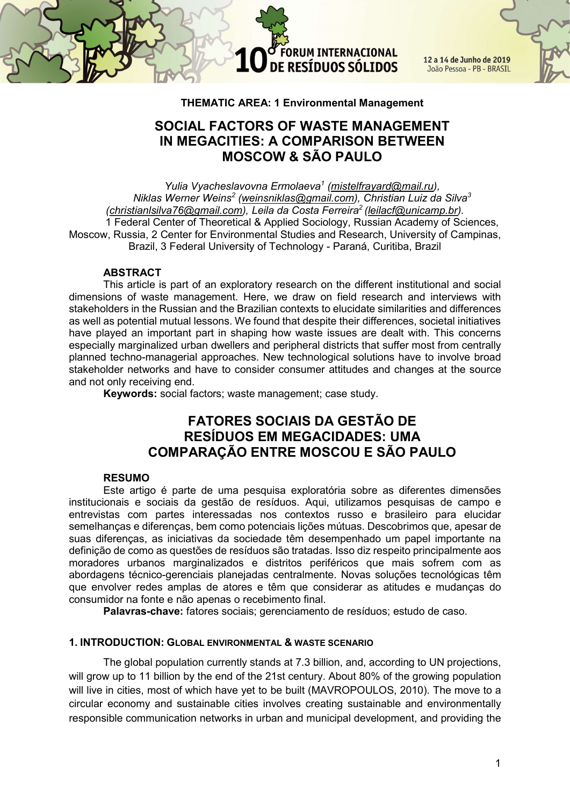

12 a 14 de Junho de 2019 João Pessoa - PB - BRASIL

#### THEMATIC AREA: 1 Environmental Management

## SOCIAL FACTORS OF WASTE MANAGEMENT IN MEGACITIES: A COMPARISON BETWEEN MOSCOW & SÃO PAULO

Yulia Vyacheslavovna Ermolaeva<sup>1</sup> (mistelfrayard@mail.ru), Niklas Werner Weins<sup>2</sup> (weinsniklas@gmail.com), Christian Luiz da Silva<sup>3</sup> (christianlsilva76@gmail.com), Leila da Costa Ferreira<sup>2</sup> (leilacf@unicamp.br). 1 Federal Center of Theoretical & Applied Sociology, Russian Academy of Sciences, Moscow, Russia, 2 Center for Environmental Studies and Research, University of Campinas, Brazil, 3 Federal University of Technology - Paraná, Curitiba, Brazil

#### ABSTRACT

This article is part of an exploratory research on the different institutional and social dimensions of waste management. Here, we draw on field research and interviews with stakeholders in the Russian and the Brazilian contexts to elucidate similarities and differences as well as potential mutual lessons. We found that despite their differences, societal initiatives have played an important part in shaping how waste issues are dealt with. This concerns especially marginalized urban dwellers and peripheral districts that suffer most from centrally planned techno-managerial approaches. New technological solutions have to involve broad stakeholder networks and have to consider consumer attitudes and changes at the source and not only receiving end.

Keywords: social factors; waste management; case study.

## FATORES SOCIAIS DA GESTÃO DE RESÍDUOS EM MEGACIDADES: UMA COMPARAÇÃO ENTRE MOSCOU E SÃO PAULO

#### RESUMO

Este artigo é parte de uma pesquisa exploratória sobre as diferentes dimensões institucionais e sociais da gestão de resíduos. Aqui, utilizamos pesquisas de campo e entrevistas com partes interessadas nos contextos russo e brasileiro para elucidar semelhanças e diferenças, bem como potenciais lições mútuas. Descobrimos que, apesar de suas diferenças, as iniciativas da sociedade têm desempenhado um papel importante na definição de como as questões de resíduos são tratadas. Isso diz respeito principalmente aos moradores urbanos marginalizados e distritos periféricos que mais sofrem com as abordagens técnico-gerenciais planejadas centralmente. Novas soluções tecnológicas têm que envolver redes amplas de atores e têm que considerar as atitudes e mudanças do consumidor na fonte e não apenas o recebimento final.

Palavras-chave: fatores sociais; gerenciamento de resíduos; estudo de caso.

#### 1. INTRODUCTION: GLOBAL ENVIRONMENTAL & WASTE SCENARIO

The global population currently stands at 7.3 billion, and, according to UN projections, will grow up to 11 billion by the end of the 21st century. About 80% of the growing population will live in cities, most of which have yet to be built (MAVROPOULOS, 2010). The move to a circular economy and sustainable cities involves creating sustainable and environmentally responsible communication networks in urban and municipal development, and providing the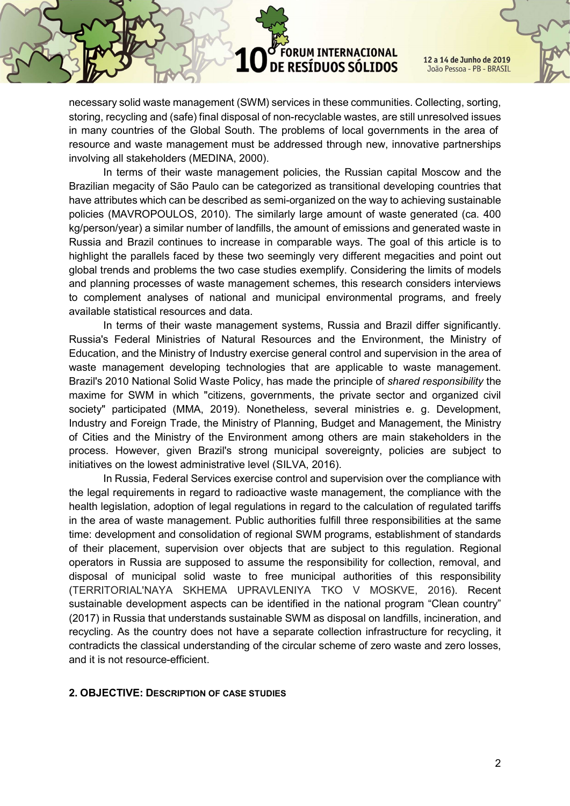12 a 14 de Junho de 2019 João Pessoa - PB - BRASIL

necessary solid waste management (SWM) services in these communities. Collecting, sorting, storing, recycling and (safe) final disposal of non-recyclable wastes, are still unresolved issues in many countries of the Global South. The problems of local governments in the area of resource and waste management must be addressed through new, innovative partnerships involving all stakeholders (MEDINA, 2000).

In terms of their waste management policies, the Russian capital Moscow and the Brazilian megacity of São Paulo can be categorized as transitional developing countries that have attributes which can be described as semi-organized on the way to achieving sustainable policies (MAVROPOULOS, 2010). The similarly large amount of waste generated (ca. 400 kg/person/year) a similar number of landfills, the amount of emissions and generated waste in Russia and Brazil continues to increase in comparable ways. The goal of this article is to highlight the parallels faced by these two seemingly very different megacities and point out global trends and problems the two case studies exemplify. Considering the limits of models and planning processes of waste management schemes, this research considers interviews to complement analyses of national and municipal environmental programs, and freely available statistical resources and data.

In terms of their waste management systems, Russia and Brazil differ significantly. Russia's Federal Ministries of Natural Resources and the Environment, the Ministry of Education, and the Ministry of Industry exercise general control and supervision in the area of waste management developing technologies that are applicable to waste management. Brazil's 2010 National Solid Waste Policy, has made the principle of shared responsibility the maxime for SWM in which "citizens, governments, the private sector and organized civil society" participated (MMA, 2019). Nonetheless, several ministries e. g. Development, Industry and Foreign Trade, the Ministry of Planning, Budget and Management, the Ministry of Cities and the Ministry of the Environment among others are main stakeholders in the process. However, given Brazil's strong municipal sovereignty, policies are subject to initiatives on the lowest administrative level (SILVA, 2016).

In Russia, Federal Services exercise control and supervision over the compliance with the legal requirements in regard to radioactive waste management, the compliance with the health legislation, adoption of legal regulations in regard to the calculation of regulated tariffs in the area of waste management. Public authorities fulfill three responsibilities at the same time: development and consolidation of regional SWM programs, establishment of standards of their placement, supervision over objects that are subject to this regulation. Regional operators in Russia are supposed to assume the responsibility for collection, removal, and disposal of municipal solid waste to free municipal authorities of this responsibility (TERRITORIAL'NAYA SKHEMA UPRAVLENIYA TKO V MOSKVE, 2016). Recent sustainable development aspects can be identified in the national program "Clean country" (2017) in Russia that understands sustainable SWM as disposal on landfills, incineration, and recycling. As the country does not have a separate collection infrastructure for recycling, it contradicts the classical understanding of the circular scheme of zero waste and zero losses, and it is not resource-efficient.

#### 2. OBJECTIVE: DESCRIPTION OF CASE STUDIES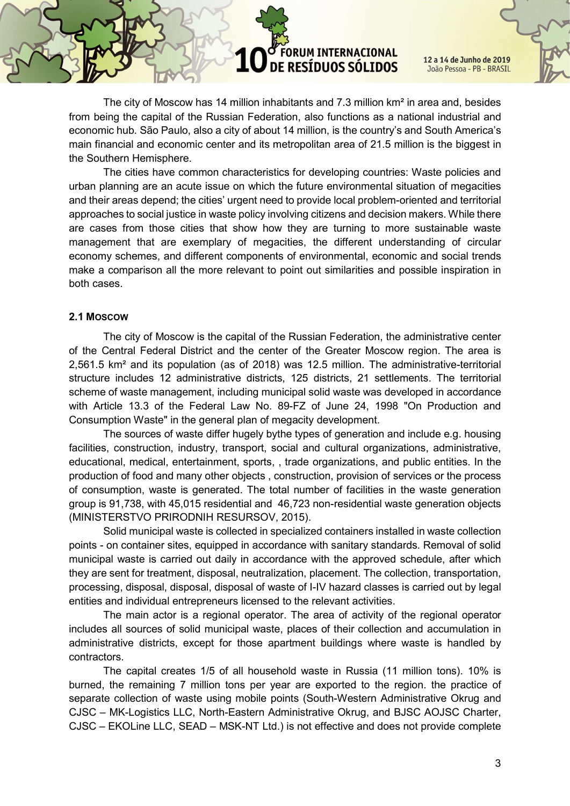12 a 14 de Junho de 2019 João Pessoa - PB - BRASIL

The city of Moscow has 14 million inhabitants and 7.3 million km² in area and, besides from being the capital of the Russian Federation, also functions as a national industrial and economic hub. São Paulo, also a city of about 14 million, is the country's and South America's main financial and economic center and its metropolitan area of 21.5 million is the biggest in the Southern Hemisphere.

The cities have common characteristics for developing countries: Waste policies and urban planning are an acute issue on which the future environmental situation of megacities and their areas depend; the cities' urgent need to provide local problem-oriented and territorial approaches to social justice in waste policy involving citizens and decision makers. While there are cases from those cities that show how they are turning to more sustainable waste management that are exemplary of megacities, the different understanding of circular economy schemes, and different components of environmental, economic and social trends make a comparison all the more relevant to point out similarities and possible inspiration in both cases.

#### 2.1 MOSCOW

The city of Moscow is the capital of the Russian Federation, the administrative center of the Central Federal District and the center of the Greater Moscow region. The area is 2,561.5 km² and its population (as of 2018) was 12.5 million. The administrative-territorial structure includes 12 administrative districts, 125 districts, 21 settlements. The territorial scheme of waste management, including municipal solid waste was developed in accordance with Article 13.3 of the Federal Law No. 89-FZ of June 24, 1998 "On Production and Consumption Waste" in the general plan of megacity development.

The sources of waste differ hugely bythe types of generation and include e.g. housing facilities, construction, industry, transport, social and cultural organizations, administrative, educational, medical, entertainment, sports, , trade organizations, and public entities. In the production of food and many other objects , construction, provision of services or the process of consumption, waste is generated. The total number of facilities in the waste generation group is 91,738, with 45,015 residential and 46,723 non-residential waste generation objects (MINISTERSTVO PRIRODNIH RESURSOV, 2015).

Solid municipal waste is collected in specialized containers installed in waste collection points - on container sites, equipped in accordance with sanitary standards. Removal of solid municipal waste is carried out daily in accordance with the approved schedule, after which they are sent for treatment, disposal, neutralization, placement. The collection, transportation, processing, disposal, disposal, disposal of waste of I-IV hazard classes is carried out by legal entities and individual entrepreneurs licensed to the relevant activities.

The main actor is a regional operator. The area of activity of the regional operator includes all sources of solid municipal waste, places of their collection and accumulation in administrative districts, except for those apartment buildings where waste is handled by contractors.

The capital creates 1/5 of all household waste in Russia (11 million tons). 10% is burned, the remaining 7 million tons per year are exported to the region. the practice of separate collection of waste using mobile points (South-Western Administrative Okrug and CJSC – MK-Logistics LLC, North-Eastern Administrative Okrug, and BJSC AOJSC Charter, CJSC – EKOLine LLC, SEAD – MSK-NT Ltd.) is not effective and does not provide complete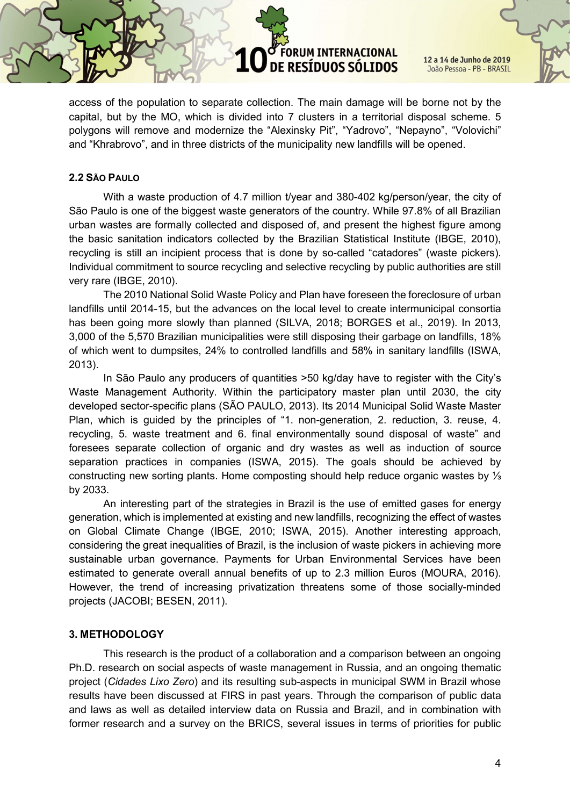12 a 14 de Junho de 2019 João Pessoa - PB - BRASIL

access of the population to separate collection. The main damage will be borne not by the capital, but by the MO, which is divided into 7 clusters in a territorial disposal scheme. 5 polygons will remove and modernize the "Alexinsky Pit", "Yadrovo", "Nepayno", "Volovichi" and "Khrabrovo", and in three districts of the municipality new landfills will be opened.

### 2.2 SÃO PAULO

With a waste production of 4.7 million t/year and 380-402 kg/person/year, the city of São Paulo is one of the biggest waste generators of the country. While 97.8% of all Brazilian urban wastes are formally collected and disposed of, and present the highest figure among the basic sanitation indicators collected by the Brazilian Statistical Institute (IBGE, 2010), recycling is still an incipient process that is done by so-called "catadores" (waste pickers). Individual commitment to source recycling and selective recycling by public authorities are still very rare (IBGE, 2010).

The 2010 National Solid Waste Policy and Plan have foreseen the foreclosure of urban landfills until 2014-15, but the advances on the local level to create intermunicipal consortia has been going more slowly than planned (SILVA, 2018; BORGES et al., 2019). In 2013, 3,000 of the 5,570 Brazilian municipalities were still disposing their garbage on landfills, 18% of which went to dumpsites, 24% to controlled landfills and 58% in sanitary landfills (ISWA, 2013).

In São Paulo any producers of quantities >50 kg/day have to register with the City's Waste Management Authority. Within the participatory master plan until 2030, the city developed sector-specific plans (SÃO PAULO, 2013). Its 2014 Municipal Solid Waste Master Plan, which is guided by the principles of "1. non-generation, 2. reduction, 3. reuse, 4. recycling, 5. waste treatment and 6. final environmentally sound disposal of waste" and foresees separate collection of organic and dry wastes as well as induction of source separation practices in companies (ISWA, 2015). The goals should be achieved by constructing new sorting plants. Home composting should help reduce organic wastes by ⅓ by 2033.

An interesting part of the strategies in Brazil is the use of emitted gases for energy generation, which is implemented at existing and new landfills, recognizing the effect of wastes on Global Climate Change (IBGE, 2010; ISWA, 2015). Another interesting approach, considering the great inequalities of Brazil, is the inclusion of waste pickers in achieving more sustainable urban governance. Payments for Urban Environmental Services have been estimated to generate overall annual benefits of up to 2.3 million Euros (MOURA, 2016). However, the trend of increasing privatization threatens some of those socially-minded projects (JACOBI; BESEN, 2011).

## 3. METHODOLOGY

This research is the product of a collaboration and a comparison between an ongoing Ph.D. research on social aspects of waste management in Russia, and an ongoing thematic project (Cidades Lixo Zero) and its resulting sub-aspects in municipal SWM in Brazil whose results have been discussed at FIRS in past years. Through the comparison of public data and laws as well as detailed interview data on Russia and Brazil, and in combination with former research and a survey on the BRICS, several issues in terms of priorities for public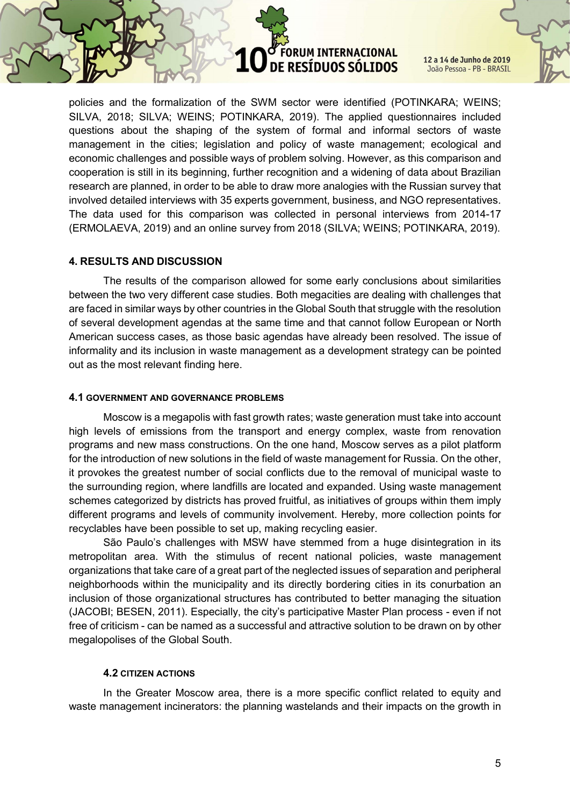12 a 14 de Junho de 2019 João Pessoa - PB - BRASIL

policies and the formalization of the SWM sector were identified (POTINKARA; WEINS; SILVA, 2018; SILVA; WEINS; POTINKARA, 2019). The applied questionnaires included questions about the shaping of the system of formal and informal sectors of waste management in the cities; legislation and policy of waste management; ecological and economic challenges and possible ways of problem solving. However, as this comparison and cooperation is still in its beginning, further recognition and a widening of data about Brazilian research are planned, in order to be able to draw more analogies with the Russian survey that involved detailed interviews with 35 experts government, business, and NGO representatives. The data used for this comparison was collected in personal interviews from 2014-17 (ERMOLAEVA, 2019) and an online survey from 2018 (SILVA; WEINS; POTINKARA, 2019).

## 4. RESULTS AND DISCUSSION

The results of the comparison allowed for some early conclusions about similarities between the two very different case studies. Both megacities are dealing with challenges that are faced in similar ways by other countries in the Global South that struggle with the resolution of several development agendas at the same time and that cannot follow European or North American success cases, as those basic agendas have already been resolved. The issue of informality and its inclusion in waste management as a development strategy can be pointed out as the most relevant finding here.

### 4.1 GOVERNMENT AND GOVERNANCE PROBLEMS

Moscow is a megapolis with fast growth rates; waste generation must take into account high levels of emissions from the transport and energy complex, waste from renovation programs and new mass constructions. On the one hand, Moscow serves as a pilot platform for the introduction of new solutions in the field of waste management for Russia. On the other, it provokes the greatest number of social conflicts due to the removal of municipal waste to the surrounding region, where landfills are located and expanded. Using waste management schemes categorized by districts has proved fruitful, as initiatives of groups within them imply different programs and levels of community involvement. Hereby, more collection points for recyclables have been possible to set up, making recycling easier.

São Paulo's challenges with MSW have stemmed from a huge disintegration in its metropolitan area. With the stimulus of recent national policies, waste management organizations that take care of a great part of the neglected issues of separation and peripheral neighborhoods within the municipality and its directly bordering cities in its conurbation an inclusion of those organizational structures has contributed to better managing the situation (JACOBI; BESEN, 2011). Especially, the city's participative Master Plan process - even if not free of criticism - can be named as a successful and attractive solution to be drawn on by other megalopolises of the Global South.

#### 4.2 CITIZEN ACTIONS

In the Greater Moscow area, there is a more specific conflict related to equity and waste management incinerators: the planning wastelands and their impacts on the growth in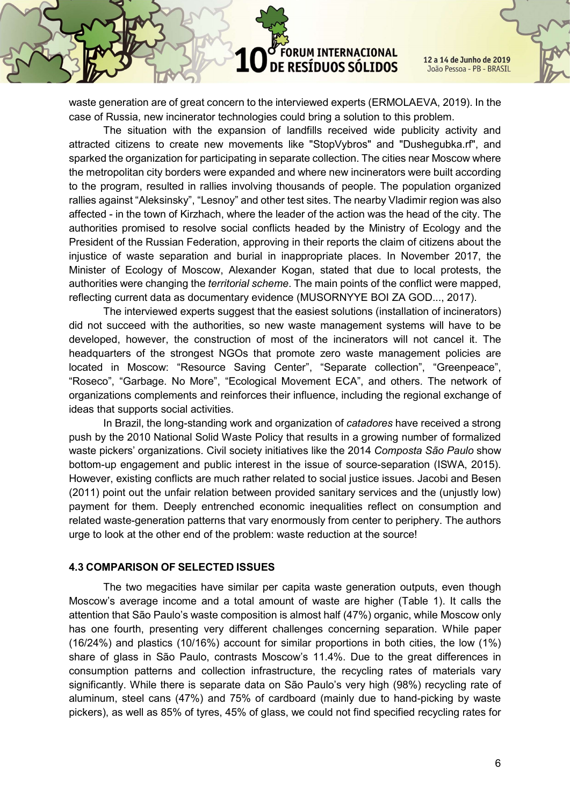

12 a 14 de Junho de 2019 João Pessoa - PB - BRASIL

waste generation are of great concern to the interviewed experts (ERMOLAEVA, 2019). In the case of Russia, new incinerator technologies could bring a solution to this problem.

The situation with the expansion of landfills received wide publicity activity and attracted citizens to create new movements like "StopVybros" and "Dushegubka.rf", and sparked the organization for participating in separate collection. The cities near Moscow where the metropolitan city borders were expanded and where new incinerators were built according to the program, resulted in rallies involving thousands of people. The population organized rallies against "Aleksinsky", "Lesnoy" and other test sites. The nearby Vladimir region was also affected - in the town of Kirzhach, where the leader of the action was the head of the city. The authorities promised to resolve social conflicts headed by the Ministry of Ecology and the President of the Russian Federation, approving in their reports the claim of citizens about the injustice of waste separation and burial in inappropriate places. In November 2017, the Minister of Ecology of Moscow, Alexander Kogan, stated that due to local protests, the authorities were changing the *territorial scheme*. The main points of the conflict were mapped, reflecting current data as documentary evidence (MUSORNYYE BOI ZA GOD..., 2017).

The interviewed experts suggest that the easiest solutions (installation of incinerators) did not succeed with the authorities, so new waste management systems will have to be developed, however, the construction of most of the incinerators will not cancel it. The headquarters of the strongest NGOs that promote zero waste management policies are located in Moscow: "Resource Saving Center", "Separate collection", "Greenpeace", "Roseco", "Garbage. No More", "Ecological Movement ECA", and others. The network of organizations complements and reinforces their influence, including the regional exchange of ideas that supports social activities.

In Brazil, the long-standing work and organization of catadores have received a strong push by the 2010 National Solid Waste Policy that results in a growing number of formalized waste pickers' organizations. Civil society initiatives like the 2014 Composta São Paulo show bottom-up engagement and public interest in the issue of source-separation (ISWA, 2015). However, existing conflicts are much rather related to social justice issues. Jacobi and Besen (2011) point out the unfair relation between provided sanitary services and the (unjustly low) payment for them. Deeply entrenched economic inequalities reflect on consumption and related waste-generation patterns that vary enormously from center to periphery. The authors urge to look at the other end of the problem: waste reduction at the source!

#### 4.3 COMPARISON OF SELECTED ISSUES

The two megacities have similar per capita waste generation outputs, even though Moscow's average income and a total amount of waste are higher (Table 1). It calls the attention that São Paulo's waste composition is almost half (47%) organic, while Moscow only has one fourth, presenting very different challenges concerning separation. While paper (16/24%) and plastics (10/16%) account for similar proportions in both cities, the low (1%) share of glass in São Paulo, contrasts Moscow's 11.4%. Due to the great differences in consumption patterns and collection infrastructure, the recycling rates of materials vary significantly. While there is separate data on São Paulo's very high (98%) recycling rate of aluminum, steel cans (47%) and 75% of cardboard (mainly due to hand-picking by waste pickers), as well as 85% of tyres, 45% of glass, we could not find specified recycling rates for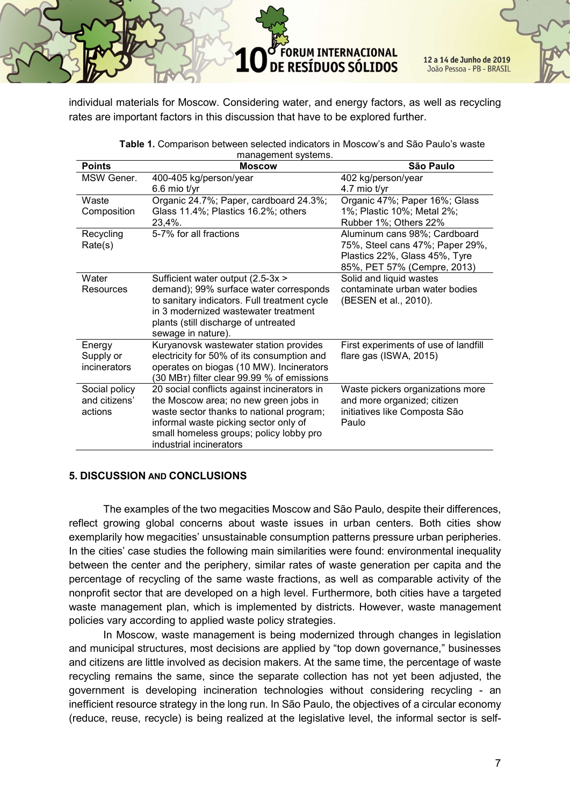12 a 14 de Junho de 2019 João Pessoa - PB - BRASIL

individual materials for Moscow. Considering water, and energy factors, as well as recycling rates are important factors in this discussion that have to be explored further.

| <b>Points</b>       | <b>Moscow</b>                                | São Paulo                            |
|---------------------|----------------------------------------------|--------------------------------------|
| MSW Gener.          | 400-405 kg/person/year                       | 402 kg/person/year                   |
|                     | $6.6$ mio t/yr                               | 4.7 mio t/yr                         |
| Waste               | Organic 24.7%; Paper, cardboard 24.3%;       | Organic 47%; Paper 16%; Glass        |
| Composition         | Glass 11.4%; Plastics 16.2%; others          | 1%; Plastic 10%; Metal 2%;           |
|                     | 23,4%.                                       | Rubber 1%; Others 22%                |
| Recycling           | 5-7% for all fractions                       | Aluminum cans 98%; Cardboard         |
| Rate(s)             |                                              | 75%, Steel cans 47%; Paper 29%,      |
|                     |                                              | Plastics 22%, Glass 45%, Tyre        |
|                     |                                              | 85%, PET 57% (Cempre, 2013)          |
| Water               | Sufficient water output (2.5-3x >            | Solid and liquid wastes              |
| Resources           | demand); 99% surface water corresponds       | contaminate urban water bodies       |
|                     | to sanitary indicators. Full treatment cycle | (BESEN et al., 2010).                |
|                     | in 3 modernized wastewater treatment         |                                      |
|                     | plants (still discharge of untreated         |                                      |
|                     | sewage in nature).                           |                                      |
| Energy              | Kuryanovsk wastewater station provides       | First experiments of use of landfill |
| Supply or           | electricity for 50% of its consumption and   | flare gas (ISWA, 2015)               |
| <i>incinerators</i> | operates on biogas (10 MW). Incinerators     |                                      |
|                     | (30 MBT) filter clear 99.99 % of emissions   |                                      |
| Social policy       | 20 social conflicts against incinerators in  | Waste pickers organizations more     |
| and citizens'       | the Moscow area; no new green jobs in        | and more organized; citizen          |
| actions             | waste sector thanks to national program;     | initiatives like Composta São        |
|                     | informal waste picking sector only of        | Paulo                                |
|                     | small homeless groups; policy lobby pro      |                                      |
|                     | industrial incinerators                      |                                      |

| Table 1. Comparison between selected indicators in Moscow's and São Paulo's waste |
|-----------------------------------------------------------------------------------|
| management systems.                                                               |

## 5. DISCUSSION AND CONCLUSIONS

The examples of the two megacities Moscow and São Paulo, despite their differences, reflect growing global concerns about waste issues in urban centers. Both cities show exemplarily how megacities' unsustainable consumption patterns pressure urban peripheries. In the cities' case studies the following main similarities were found: environmental inequality between the center and the periphery, similar rates of waste generation per capita and the percentage of recycling of the same waste fractions, as well as comparable activity of the nonprofit sector that are developed on a high level. Furthermore, both cities have a targeted waste management plan, which is implemented by districts. However, waste management policies vary according to applied waste policy strategies.

In Moscow, waste management is being modernized through changes in legislation and municipal structures, most decisions are applied by "top down governance," businesses and citizens are little involved as decision makers. At the same time, the percentage of waste recycling remains the same, since the separate collection has not yet been adjusted, the government is developing incineration technologies without considering recycling - an inefficient resource strategy in the long run. In São Paulo, the objectives of a circular economy (reduce, reuse, recycle) is being realized at the legislative level, the informal sector is self-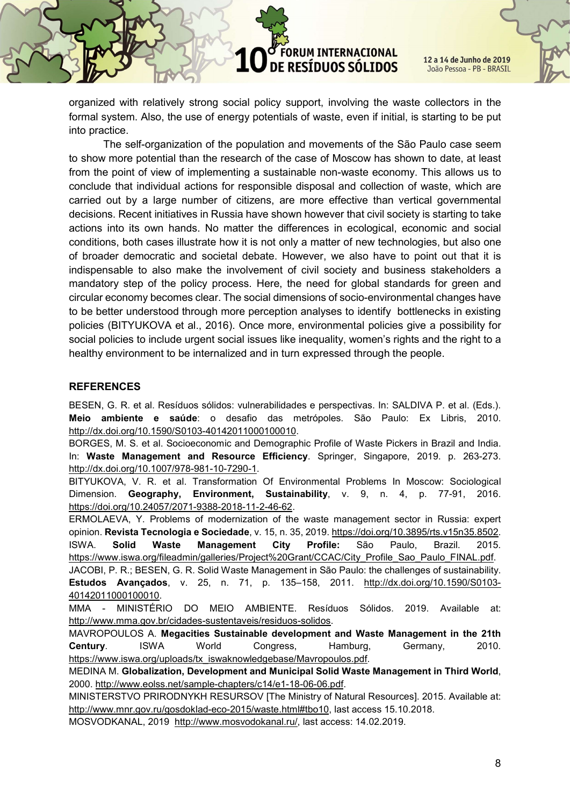12 a 14 de Junho de 2019 João Pessoa - PB - BRASIL

organized with relatively strong social policy support, involving the waste collectors in the formal system. Also, the use of energy potentials of waste, even if initial, is starting to be put into practice.

The self-organization of the population and movements of the São Paulo case seem to show more potential than the research of the case of Moscow has shown to date, at least from the point of view of implementing a sustainable non-waste economy. This allows us to conclude that individual actions for responsible disposal and collection of waste, which are carried out by a large number of citizens, are more effective than vertical governmental decisions. Recent initiatives in Russia have shown however that civil society is starting to take actions into its own hands. No matter the differences in ecological, economic and social conditions, both cases illustrate how it is not only a matter of new technologies, but also one of broader democratic and societal debate. However, we also have to point out that it is indispensable to also make the involvement of civil society and business stakeholders a mandatory step of the policy process. Here, the need for global standards for green and circular economy becomes clear. The social dimensions of socio-environmental changes have to be better understood through more perception analyses to identify bottlenecks in existing policies (BITYUKOVA et al., 2016). Once more, environmental policies give a possibility for social policies to include urgent social issues like inequality, women's rights and the right to a healthy environment to be internalized and in turn expressed through the people.

#### **REFERENCES**

BESEN, G. R. et al. Resíduos sólidos: vulnerabilidades e perspectivas. In: SALDIVA P. et al. (Eds.). Meio ambiente e saúde: o desafio das metrópoles. São Paulo: Ex Libris, 2010. http://dx.doi.org/10.1590/S0103-40142011000100010.

BORGES, M. S. et al. Socioeconomic and Demographic Profile of Waste Pickers in Brazil and India. In: Waste Management and Resource Efficiency. Springer, Singapore, 2019. p. 263-273. http://dx.doi.org/10.1007/978-981-10-7290-1.

BITYUKOVA, V. R. et al. Transformation Of Environmental Problems In Moscow: Sociological Dimension. Geography, Environment, Sustainability, v. 9, n. 4, p. 77-91, 2016. https://doi.org/10.24057/2071-9388-2018-11-2-46-62.

ERMOLAEVA, Y. Problems of modernization of the waste management sector in Russia: expert opinion. Revista Tecnologia e Sociedade, v. 15, n. 35, 2019. https://doi.org/10.3895/rts.v15n35.8502. ISWA. Solid Waste Management City Profile: São Paulo, Brazil. 2015. https://www.iswa.org/fileadmin/galleries/Project%20Grant/CCAC/City\_Profile\_Sao\_Paulo\_FINAL.pdf.

JACOBI, P. R.; BESEN, G. R. Solid Waste Management in São Paulo: the challenges of sustainability. Estudos Avançados, v. 25, n. 71, p. 135–158, 2011. http://dx.doi.org/10.1590/S0103- 40142011000100010.

MMA - MINISTÉRIO DO MEIO AMBIENTE. Resíduos Sólidos. 2019. Available at: http://www.mma.gov.br/cidades-sustentaveis/residuos-solidos.

MAVROPOULOS A. Megacities Sustainable development and Waste Management in the 21th Century. ISWA World Congress, Hamburg, Germany, 2010. https://www.iswa.org/uploads/tx\_iswaknowledgebase/Mavropoulos.pdf.

MEDINA M. Globalization, Development and Municipal Solid Waste Management in Third World, 2000. http://www.eolss.net/sample-chapters/c14/e1-18-06-06.pdf.

MINISTERSTVO PRIRODNYKH RESURSOV [The Ministry of Natural Resources]. 2015. Available at: http://www.mnr.gov.ru/gosdoklad-eco-2015/waste.html#tbo10, last access 15.10.2018.

MOSVODKANAL, 2019 http://www.mosvodokanal.ru/, last access: 14.02.2019.